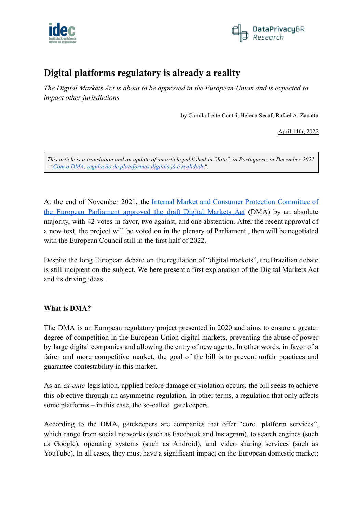



# **Digital platforms regulatory is already a reality**

*The Digital Markets Act is about to be approved in the European Union and is expected to impact other jurisdictions*

by Camila Leite Contri, Helena Secaf, Rafael A. Zanatta

April 14th, 2022

This article is a translation and an update of an article published in "Jota", in Portuguese, in December 2021 *- "Com o DMA, regulação de [plataformas](https://www.jota.info/opiniao-e-analise/artigos/com-dma-regulacao-plataformas-digitais-ja-e-realidade-09122021) digitais já é realidade".*

At the end of November 2021, the Internal Market and Consumer Protection [Committee](https://www.europarl.europa.eu/news/en/press-room/20211118IPR17636/digital-markets-act-ending-unfair-practices-of-big-online-platforms) of the European [Parliament](https://www.europarl.europa.eu/news/en/press-room/20211118IPR17636/digital-markets-act-ending-unfair-practices-of-big-online-platforms) approved the draft Digital Markets Act (DMA) by an absolute majority, with 42 votes in favor, two against, and one abstention. After the recent approval of a new text, the project will be voted on in the plenary of Parliament , then will be negotiated with the European Council still in the first half of 2022.

Despite the long European debate on the regulation of "digital markets", the Brazilian debate is still incipient on the subject. We here present a first explanation of the Digital Markets Act and its driving ideas.

## **What is DMA?**

The DMA is an European regulatory project presented in 2020 and aims to ensure a greater degree of competition in the European Union digital markets, preventing the abuse of power by large digital companies and allowing the entry of new agents. In other words, in favor of a fairer and more competitive market, the goal of the bill is to prevent unfair practices and guarantee contestability in this market.

As an *ex-ante* legislation, applied before damage or violation occurs, the bill seeks to achieve this objective through an asymmetric regulation. In other terms, a regulation that only affects some platforms – in this case, the so-called gatekeepers.

According to the DMA, gatekeepers are companies that offer "core platform services", which range from social networks (such as Facebook and Instagram), to search engines (such as Google), operating systems (such as Android), and video sharing services (such as YouTube). In all cases, they must have a significant impact on the European domestic market: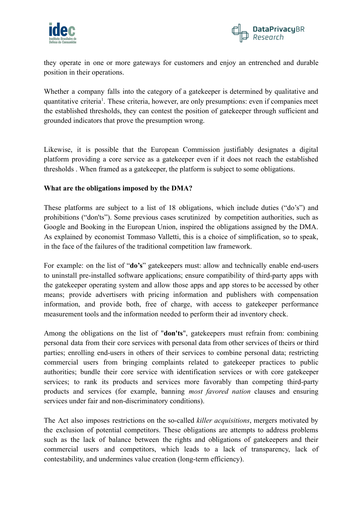



they operate in one or more gateways for customers and enjoy an entrenched and durable position in their operations.

Whether a company falls into the category of a gatekeeper is determined by qualitative and quantitative criteria<sup>1</sup>. These criteria, however, are only presumptions: even if companies meet the established thresholds, they can contest the position of gatekeeper through sufficient and grounded indicators that prove the presumption wrong.

Likewise, it is possible that the European Commission justifiably designates a digital platform providing a core service as a gatekeeper even if it does not reach the established thresholds . When framed as a gatekeeper, the platform is subject to some obligations.

## **What are the obligations imposed by the DMA?**

These platforms are subject to a list of 18 obligations, which include duties ("do's") and prohibitions ("don'ts"). Some previous cases scrutinized by competition authorities, such as Google and Booking in the European Union, inspired the obligations assigned by the DMA. As explained by economist Tommaso Valletti, this is a choice of simplification, so to speak, in the face of the failures of the traditional competition law framework.

For example: on the list of "**do's**" gatekeepers must: allow and technically enable end-users to uninstall pre-installed software applications; ensure compatibility of third-party apps with the gatekeeper operating system and allow those apps and app stores to be accessed by other means; provide advertisers with pricing information and publishers with compensation information, and provide both, free of charge, with access to gatekeeper performance measurement tools and the information needed to perform their ad inventory check.

Among the obligations on the list of "**don'ts**", gatekeepers must refrain from: combining personal data from their core services with personal data from other services of theirs or third parties; enrolling end-users in others of their services to combine personal data; restricting commercial users from bringing complaints related to gatekeeper practices to public authorities; bundle their core service with identification services or with core gatekeeper services; to rank its products and services more favorably than competing third-party products and services (for example, banning *most favored nation* clauses and ensuring services under fair and non-discriminatory conditions).

The Act also imposes restrictions on the so-called *killer acquisitions*, mergers motivated by the exclusion of potential competitors. These obligations are attempts to address problems such as the lack of balance between the rights and obligations of gatekeepers and their commercial users and competitors, which leads to a lack of transparency, lack of contestability, and undermines value creation (long-term efficiency).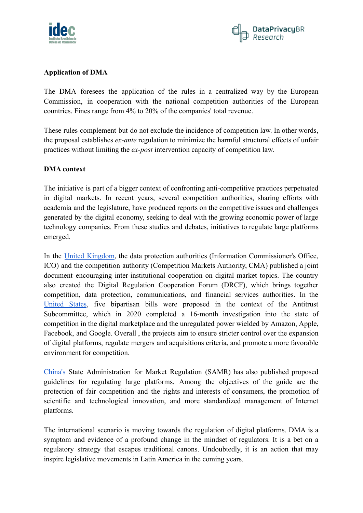



#### **Application of DMA**

The DMA foresees the application of the rules in a centralized way by the European Commission, in cooperation with the national competition authorities of the European countries. Fines range from 4% to 20% of the companies' total revenue.

These rules complement but do not exclude the incidence of competition law. In other words, the proposal establishes *ex-ante* regulation to minimize the harmful structural effects of unfair practices without limiting the *ex-post* intervention capacity of competition law.

#### **DMA context**

The initiative is part of a bigger context of confronting anti-competitive practices perpetuated in digital markets. In recent years, several competition authorities, sharing efforts with academia and the legislature, have produced reports on the competitive issues and challenges generated by the digital economy, seeking to deal with the growing economic power of large technology companies. From these studies and debates, initiatives to regulate large platforms emerged.

In the United [Kingdom](https://www.jota.info/opiniao-e-analise/colunas/fronteiras-concorrencia-regulacao/cooperacao-institucional-e-mercados-digitais-o-exemplo-britanico-e-o-caminho-brasileiro-27052021), the data protection authorities (Information Commissioner's Office, ICO) and the competition authority (Competition Markets Authority, CMA) published a joint document encouraging inter-institutional cooperation on digital market topics. The country also created the Digital Regulation Cooperation Forum (DRCF), which brings together competition, data protection, communications, and financial services authorities. In the [United](https://cicilline.house.gov/press-release/house-lawmakers-release-anti-monopoly-agenda-stronger-online-economy-opportunity) States, five bipartisan bills were proposed in the context of the Antitrust Subcommittee, which in 2020 completed a 16-month investigation into the state of competition in the digital marketplace and the unregulated power wielded by Amazon, Apple, Facebook, and Google. Overall , the projects aim to ensure stricter control over the expansion of digital platforms, regulate mergers and acquisitions criteria, and promote a more favorable environment for competition.

[China's](https://www.ianbrown.tech/2021/11/01/chinas-new-platform-guidelines/) State Administration for Market Regulation (SAMR) has also published proposed guidelines for regulating large platforms. Among the objectives of the guide are the protection of fair competition and the rights and interests of consumers, the promotion of scientific and technological innovation, and more standardized management of Internet platforms.

The international scenario is moving towards the regulation of digital platforms. DMA is a symptom and evidence of a profound change in the mindset of regulators. It is a bet on a regulatory strategy that escapes traditional canons. Undoubtedly, it is an action that may inspire legislative movements in Latin America in the coming years.